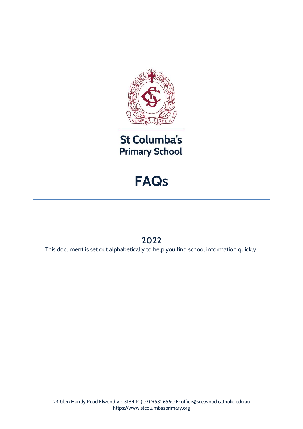

St Columba's **Primary School** 

# **FAQs**

# **2022**

This document is set out alphabetically to help you find school information quickly.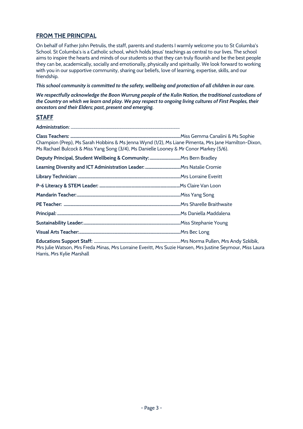# **FROM THE PRINCIPAL**

On behalf of Father John Petrulis, the staff, parents and students I warmly welcome you to St Columba's School. St Columba's is a Catholic school, which holds Jesus' teachings as central to our lives. The school aims to inspire the hearts and minds of our students so that they can truly flourish and be the best people they can be, academically, socially and emotionally, physically and spiritually. We look forward to working with you in our supportive community, sharing our beliefs, love of learning, expertise, skills, and our friendship.

*This school community is committed to the safety, wellbeing and protection of all children in our care.*

*We respectfully acknowledge the Boon Wurrung people of the Kulin Nation, the traditional custodians of the Country on which we learn and play. We pay respect to ongoing living cultures of First Peoples, their ancestors and their Elders; past, present and emerging.*

# **STAFF**

**Administration**: ......................................................................................................... **Class Teachers: ....................................................................................................**Miss Gemma Canalini & Ms Sophie Champion (Prep), Ms Sarah Hobbins & Ms Jenna Wynd (1/2), Ms Liane Pimenta, Mrs Jane Hamilton-Dixon, Ms Rachael Bulcock & Miss Yang Song (3/4), Ms Danielle Looney & Mr Conor Markey (5/6). **Deputy Principal, Student Wellbeing & Community: ............................**Mrs Bern Bradley **Learning Diversity and ICT Administration Leader: ................................**Mrs Natalie Cromie **Library Technician: .............................................................................................**Mrs Lorraine Everitt **P-6 Literacy & STEM Leader: …………………………………………………………………**Ms Claire Van Loon **Mandarin Teacher:..............................................................................................**Miss Yang Song **PE Teacher: ..........................................................................................................**Mrs Sharelle Braithwaite **Principal: ................................................................................................................**Ms Daniella Maddalena **Sustainability Leader:........................................................................................**Miss Stephanie Young **Visual Arts Teacher:............................................................................................**Mrs Bec Long **Educations Support Staff:** ..........................................................................Mrs Norma Pullen, Mrs Andy Szkibik, Mrs Julie Watson, Mrs Freda Minas, Mrs Lorraine Everitt, Mrs Suzie Hansen, Mrs Justine Seymour, Miss Laura Harris, Mrs Kylie Marshall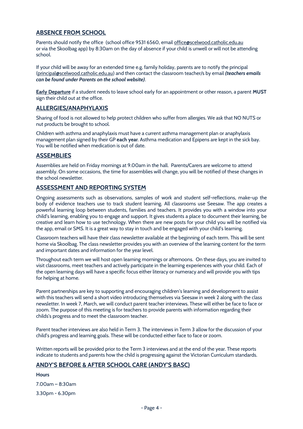# **ABSENCE FROM SCHOOL**

Parents should notify the office (school office 9531 6560, email [office@scelwood.catholic.edu.au](mailto:office@scelwood.catholic.edu.au) or via the Skoolbag app) by 8:30am on the day of absence if your child is unwell or will not be attending school.

If your child will be away for an extended time e.g. family holiday, parents are to notify the principal [\(principal@scelwood.catholic.edu.au\)](mailto:principal@scelwood.catholic.edu.au) and then contact the classroom teacher/s by email *(teachers emails can be found under Parents on the school website)*.

**Early Departure** if a student needs to leave school early for an appointment or other reason, a parent **MUST** sign their child out at the office.

#### **ALLERGIES/ANAPHYLAXIS**

Sharing of food is not allowed to help protect children who suffer from allergies. We ask that NO NUTS or nut products be brought to school.

Children with asthma and anaphylaxis must have a current asthma management plan or anaphylaxis management plan signed by their GP **each year**. Asthma medication and Epipens are kept in the sick bay. You will be notified when medication is out of date.

### **ASSEMBLIES**

Assemblies are held on Friday mornings at 9.00am in the hall. Parents/Carers are welcome to attend assembly. On some occasions, the time for assemblies will change, you will be notified of these changes in the school newsletter.

### **ASSESSMENT AND REPORTING SYSTEM**

Ongoing assessments such as observations, samples of work and student self-reflections, make-up the body of evidence teachers use to track student learning. All classrooms use Seesaw. The app creates a powerful learning loop between students, families and teachers. It provides you with a window into your child's learning, enabling you to engage and support. It gives students a place to document their learning, be creative and learn how to use technology. When there are new posts for your child you will be notified via the app, email or SMS. It is a great way to stay in touch and be engaged with your child's learning.

Classroom teachers will have their class newsletter available at the beginning of each term. This will be sent home via Skoolbag. The class newsletter provides you with an overview of the learning content for the term and important dates and information for the year level.

Throughout each term we will host open learning mornings or afternoons. On these days, you are invited to visit classrooms, meet teachers and actively participate in the learning experiences with your child. Each of the open learning days will have a specific focus either literacy or numeracy and will provide you with tips for helping at home.

Parent partnerships are key to supporting and encouraging children's learning and development to assist with this teachers will send a short video introducing themselves via Seesaw in week 2 along with the class newsletter. In week 7, March, we will conduct parent teacher interviews. These will either be face to face or zoom. The purpose of this meeting is for teachers to provide parents with information regarding their childs's progress and to meet the classroom teacher.

Parent teacher interviews are also held in Term 3. The interviews in Term 3 allow for the discussion of your child's progress and learning goals. These will be conducted either face to face or zoom.

Written reports will be provided prior to the Term 3 interviews and at the end of the year. These reports indicate to students and parents how the child is progressing against the Victorian Curriculum standards.

# **ANDY'S BEFORE & AFTER SCHOOL CARE (ANDY'S BASC)**

**Hours**  7.00am – 8:30am 3.30pm - 6.30pm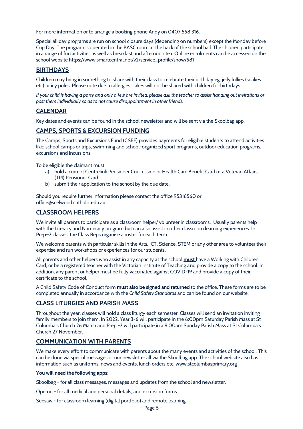For more information or to arrange a booking phone Andy on 0407 558 316.

Special all day programs are run on school closure days (depending on numbers) except the Monday before Cup Day. The program is operated in the BASC room at the back of the school hall. The children participate in a range of fun activities as well as breakfast and afternoon tea. Online enrolments can be accessed on the school websit[e https://www.smartcentral.net/v2/service\\_profile/show/581](https://www.smartcentral.net/v2/service_profile/show/581)

# **BIRTHDAYS**

Children may bring in something to share with their class to celebrate their birthday eg: jelly lollies (snakes etc) or icy poles. Please note due to allergies, cakes will not be shared with children for birthdays.

*If your child is having a party and only a few are invited, please ask the teacher to assist handing out invitations or post them individually so as to not cause disappointment in other friends.*

#### **CALENDAR**

Key dates and events can be found in the school newsletter and will be sent via the Skoolbag app.

# **CAMPS, SPORTS & EXCURSION FUNDING**

The Camps, Sports and Excursions Fund (CSEF) provides payments for eligible students to attend activities like: school camps or trips, swimming and school-organized sport programs, outdoor education programs, excursions and incursions.

To be eligible the claimant must:

- a) hold a current Centrelink Pensioner Concession or Health Care Benefit Card or a Veteran Affairs (TPI) Pensioner Card
- b) submit their application to the school by the due date.

Should you require further information please contact the office 95316560 or [office@scelwood.catholic.edu.au](mailto:office@scelwood.catholic.edu.au)

#### **CLASSROOM HELPERS**

We invite all parents to participate as a classroom helper/ volunteer in classrooms. Usually parents help with the Literacy and Numeracy program but can also assist in other classroom learning experiences. In Prep–2 classes, the Class Reps organise a roster for each term.

We welcome parents with particular skills in the Arts, ICT, Science, STEM or any other area to volunteer their expertise and run workshops or experiences for our students.

All parents and other helpers who assist in any capacity at the school **must** have a Working with Children Card, or be a registered teacher with the Victorian Institute of Teaching and provide a copy to the school. In addition, any parent or helper must be fully vaccinated against COVID-19 and provide a copy of their certificate to the school.

A Child Safety Code of Conduct form **must also be signed and returned** to the office. These forms are to be completed annually in accordance with the *Child Safety Standards* and can be found on our website.

#### **CLASS LITURGIES AND PARISH MASS**

Throughout the year, classes will hold a class liturgy each semester. Classes will send an invitation inviting family members to join them. In 2022, Year 3-6 will participate in the 6:00pm Saturday Parish Mass at St Columba's Church 26 March and Prep -2 will participate in a 9:00am Sunday Parish Mass at St Columba's Church 27 November.

#### **COMMUNICATION WITH PARENTS**

We make every effort to communicate with parents about the many events and activities of the school. This can be done via special messages or our newsletter all via the Skoolbag app. The school website also has information such as uniforms, news and events, lunch orders etc. [www.stcolumbasprimary.org](http://www.stcolumbasprimary.org/)

#### **You will need the following apps:**

Skoolbag - for all class messages, messages and updates from the school and newsletter.

Operoo - for all medical and personal details, and excursion forms.

Seesaw - for classroom learning (digital portfolio) and remote learning.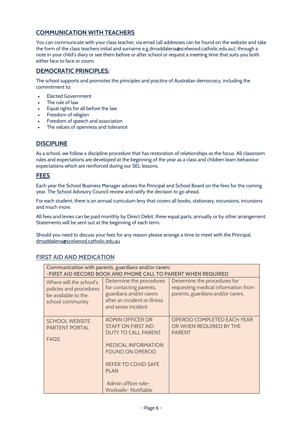# **COMMUNICATION WITH TEACHERS**

You can communicate with your class teacher, via email (all addresses can be found on the website and take the form of the class teachers initial and surname e.g dmaddalena@scelwood.catholic.edu.au), through a note in your child's diary or see them before or after school or request a meeting time that suits you both either face to face or zoom.

# **DEMOCRATIC PRINCIPLES:**

The school supports and promotes the principles and practice of Australian democracy, including the commitment to:

- Elected Government
- The rule of law
- Equal rights for all before the law
- Freedom of religion
- Freedom of speech and association
- The values of openness and tolerance

# **DISCIPLINE**

As a school, we follow a discipline procedure that has restoration of relationships as the focus. All classroom rules and expectations are developed at the beginning of the year as a class and children learn behaviour expectations which are reinforced during our SEL lessons.

### **FEES**

Each year the School Business Manager advises the Principal and School Board on the fees for the coming year. The School Advisory Council review and ratify the decision to go ahead.

For each student, there is an annual curriculum levy that covers all books, stationary, excursions, incursions and much more.

All fees and levies can be paid monthly by Direct Debit, three equal parts, annually or by other arrangement. Statements will be sent out at the beginning of each term.

Should you need to discuss your fees for any reason please arrange a time to meet with the Principal. [dmaddalena@scelwood.catholic.edu.au](mailto:dmaddalena@scelwood.catholic.edu.au)

# **FIRST AID AND MEDICATION**

| Communication with parents, guardians and/or carers:<br>-FIRST AID RECORD BOOK AND PHONE CALL TO PARENT WHEN REQUIRED |                                                                                                                                                                                                                                        |                                                                                                          |  |  |
|-----------------------------------------------------------------------------------------------------------------------|----------------------------------------------------------------------------------------------------------------------------------------------------------------------------------------------------------------------------------------|----------------------------------------------------------------------------------------------------------|--|--|
| Where will the school's<br>policies and procedures<br>be available to the<br>school community                         | Determine the procedures<br>for contacting parents,<br>guardians and/or carers<br>after an incident or illness<br>and series incident                                                                                                  | Determine the procedures for<br>requesting medical information from<br>parents, guardians and/or carers. |  |  |
| <b>SCHOOL WEBSITE</b><br><b>PARTENT PORTAL</b><br><b>FAQS</b>                                                         | <b>ADMIN OFFICER OR</b><br><b>STAFF ON FIRST AID</b><br><b>DUTY TO CALL PARENT</b><br><b>MEDICAL INFORMATION</b><br><b>FOUND ON OPEROO</b><br><b>REFER TO COVID SAFE</b><br><b>PLAN</b><br>Admin officer role-<br>Worksafe- Notifiable | <b>OPEROO COMPLETED EACH YEAR</b><br>OR WHEN REQUIRED BY THE<br><b>PARENT</b>                            |  |  |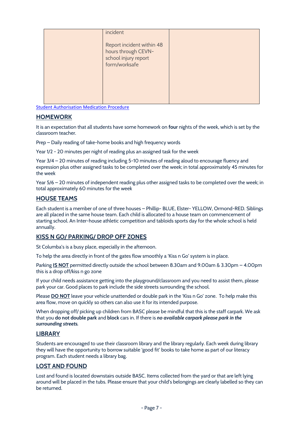|  | incident                                                                                  |  |
|--|-------------------------------------------------------------------------------------------|--|
|  | Report incident within 48<br>hours through CEVN-<br>school injury report<br>form/worksafe |  |
|  |                                                                                           |  |

[Student Authorisation Medication Procedure](../4.%20CARE%20SAFETY%20&%20WELFARE%20of%20STUDENTS/4.1%20Care%20Safety%20&%20Welfare%20of%20Students/FIRST%20AID/2021%20Student%20Medication%20Administration%20Procedure.pdf)

#### **HOMEWORK**

It is an expectation that all students have some homework on **four** nights of the week, which is set by the classroom teacher.

Prep – Daily reading of take-home books and high frequency words

Year 1/2 - 20 minutes per night of reading plus an assigned task for the week

Year 3/4 – 20 minutes of reading including 5-10 minutes of reading aloud to encourage fluency and expression plus other assigned tasks to be completed over the week; in total approximately 45 minutes for the week

Year 5/6 – 20 minutes of independent reading plus other assigned tasks to be completed over the week; in total approximately 60 minutes for the week

### **HOUSE TEAMS**

Each student is a member of one of three houses – Phillip- BLUE, Elster- YELLOW, Ormond-RED. Siblings are all placed in the same house team. Each child is allocated to a house team on commencement of starting school. An Inter-house athletic competition and tabloids sports day for the whole school is held annually.

#### **KISS N GO/ PARKING/ DROP OFF ZONES**

St Columba's is a busy place, especially in the afternoon.

To help the area directly in front of the gates flow smoothly a 'Kiss n Go' system is in place.

Parking **IS NOT** permitted directly outside the school between 8.30am and 9.00am & 3.30pm – 4.00pm this is a drop off/kiss n go zone

If your child needs assistance getting into the playground/classroom and you need to assist them, please park your car. Good places to park include the side streets surrounding the school.

Please **DO NOT** leave your vehicle unattended or double park in the 'Kiss n Go' zone. To help make this area flow, move on quickly so others can also use it for its intended purpose.

When dropping off/ picking up children from BASC please be mindful that this is the staff carpark. We ask that you **do not double park** and **block** cars in. If there is *no available carpark please park in the surrounding streets.*

#### **LIBRARY**

Students are encouraged to use their classroom library and the library regularly. Each week during library they will have the opportunity to borrow suitable 'good fit' books to take home as part of our literacy program. Each student needs a library bag.

# **LOST AND FOUND**

Lost and found is located downstairs outside BASC. Items collected from the yard or that are left lying around will be placed in the tubs. Please ensure that your child's belongings are clearly labelled so they can be returned.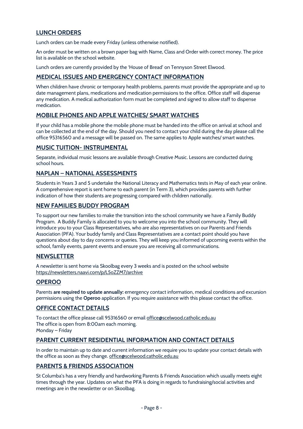# **LUNCH ORDERS**

Lunch orders can be made every Friday (unless otherwise notified).

An order must be written on a brown paper bag with Name, Class and Order with correct money. The price list is available on the school website.

Lunch orders are currently provided by the 'House of Bread' on Tennyson Street Elwood.

# **MEDICAL ISSUES AND EMERGENCY CONTACT INFORMATION**

When children have chronic or temporary health problems, parents must provide the appropriate and up to date management plans, medications and medication permissions to the office. Office staff will dispense any medication. A medical authorization form must be completed and signed to allow staff to dispense medication.

# **MOBILE PHONES AND APPLE WATCHES/ SMART WATCHES**

If your child has a mobile phone the mobile phone must be handed into the office on arrival at school and can be collected at the end of the day. Should you need to contact your child during the day please call the office 95316560 and a message will be passed on. The same applies to Apple watches/ smart watches.

#### **MUSIC TUITION- INSTRUMENTAL**

Separate, individual music lessons are available through Creative Music. Lessons are conducted during school hours.

### **NAPLAN – NATIONAL ASSESSMENTS**

Students in Years 3 and 5 undertake the National Literacy and Mathematics tests in May of each year online. A comprehensive report is sent home to each parent (in Term 3), which provides parents with further indication of how their students are progressing compared with children nationally.

#### **NEW FAMILIES BUDDY PROGRAM**

To support our new families to make the transition into the school community we have a Family Buddy Program. A Buddy Family is allocated to you to welcome you into the school community. They will introduce you to your Class Representatives, who are also representatives on our Parents and Friends Association (PFA). Your buddy family and Class Representatives are a contact point should you have questions about day to day concerns or queries. They will keep you informed of upcoming events within the school, family events, parent events and ensure you are receiving all communications.

#### **NEWSLETTER**

A newsletter is sent home via Skoolbag every 3 weeks and is posted on the school website <https://newsletters.naavi.com/p/L5oZZM7/archive>

# **OPEROO**

Parents **are required to update annually:** emergency contact information, medical conditions and excursion permissions using the **Operoo** application. If you require assistance with this please contact the office.

#### **OFFICE CONTACT DETAILS**

To contact the office please call 95316560 or email [office@scelwood.catholic.edu.au](mailto:office@scelwood.catholic.edu.au) The office is open from 8:00am each morning. Monday – Friday

# **PARENT CURRENT RESIDENTIAL INFORMATION AND CONTACT DETAILS**

In order to maintain up to date and current information we require you to update your contact details with the office as soon as they change. [office@scelwood.catholic.edu.au](mailto:office@scelwood.catholic.edu.au)

# **PARENTS & FRIENDS ASSOCIATION**

St Columba's has a very friendly and hardworking Parents & Friends Association which usually meets eight times through the year. Updates on what the PFA is doing in regards to fundraising/social activities and meetings are in the newsletter or on Skoolbag.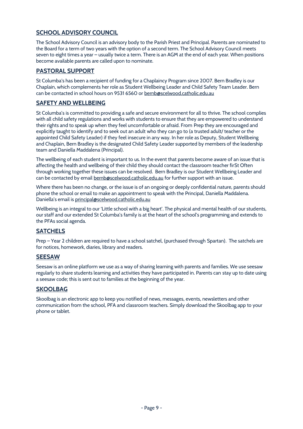# **SCHOOL ADVISORY COUNCIL**

The School Advisory Council is an advisory body to the Parish Priest and Principal. Parents are nominated to the Board for a term of two years with the option of a second term. The School Advisory Council meets seven to eight times a year – usually twice a term. There is an AGM at the end of each year. When positions become available parents are called upon to nominate.

# **PASTORAL SUPPORT**

St Columba's has been a recipient of funding for a Chaplaincy Program since 2007. Bern Bradley is our Chaplain, which complements her role as Student Wellbeing Leader and Child Safety Team Leader. Bern can be contacted in school hours on 9531 6560 or [bernb@scelwood.catholic.edu.au](mailto:bernb@scelwood.catholic.edu.au)

# **SAFETY AND WELLBEING**

St Columba's is committed to providing a safe and secure environment for all to thrive. The school complies with all child safety regulations and works with students to ensure that they are empowered to understand their rights and to speak up when they feel uncomfortable or afraid. From Prep they are encouraged and explicitly taught to identify and to seek out an adult who they can go to (a trusted adult/ teacher or the appointed Child Safety Leader) if they feel insecure in any way. In her role as Deputy, Student Wellbeing and Chaplain, Bern Bradley is the designated Child Safety Leader supported by members of the leadership team and Daniella Maddalena (Principal).

The wellbeing of each student is important to us. In the event that parents become aware of an issue that is affecting the health and wellbeing of their child they should contact the classroom teacher firSt Often through working together these issues can be resolved. Bern Bradley is our Student Wellbeing Leader and can be contacted by email **bernb@scelwood.catholic.edu.au** for further support with an issue.

Where there has been no change, or the issue is of an ongoing or deeply confidential nature, parents should phone the school or email to make an appointment to speak with the Principal, Daniella Maddalena. Daniella's email is [principal@scelwood.catholic.edu.au](mailto:principal@scelwood.catholic.edu.au)

Wellbeing is an integral to our 'Little school with a big heart'. The physical and mental health of our students, our staff and our extended St Columba's family is at the heart of the school's programming and extends to the PFAs social agenda.

# **SATCHELS**

Prep – Year 2 children are required to have a school satchel, (purchased through Spartan). The satchels are for notices, homework, diaries, library and readers.

#### **SEESAW**

Seesaw is an online platform we use as a way of sharing learning with parents and families. We use seesaw regularly to share students learning and activities they have participated in. Parents can stay up to date using a seesaw code; this is sent out to families at the beginning of the year.

# **SKOOLBAG**

Skoolbag is an electronic app to keep you notified of news, messages, events, newsletters and other communication from the school, PFA and classroom teachers. Simply download the Skoolbag app to your phone or tablet.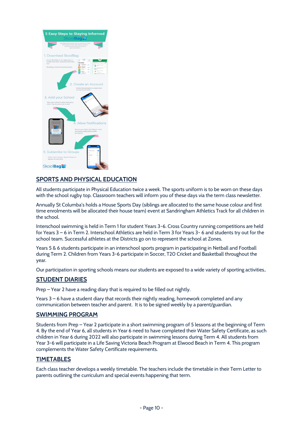

# **SPORTS AND PHYSICAL EDUCATION**

All students participate in Physical Education twice a week. The sports uniform is to be worn on these days with the school rugby top. Classroom teachers will inform you of these days via the term class newsletter.

Annually St Columba's holds a House Sports Day (siblings are allocated to the same house colour and first time enrolments will be allocated their house team) event at Sandringham Athletics Track for all children in the school.

Interschool swimming is held in Term 1 for student Years 3-6. Cross Country running competitions are held for Years 3 – 6 in Term 2. Interschool Athletics are held in Term 3 for Years 3- 6 and students try out for the school team. Successful athletes at the Districts go on to represent the school at Zones.

Years 5 & 6 students participate in an interschool sports program in participating in Netball and Football during Term 2. Children from Years 3-6 participate in Soccer, T20 Cricket and Basketball throughout the year.

Our participation in sporting schools means our students are exposed to a wide variety of sporting activities..

# **STUDENT DIARIES**

Prep – Year 2 have a reading diary that is required to be filled out nightly.

Years 3 – 6 have a student diary that records their nightly reading, homework completed and any communication between teacher and parent. It is to be signed weekly by a parent/guardian.

#### **SWIMMING PROGRAM**

Students from Prep – Year 2 participate in a short swimming program of 5 lessons at the beginning of Term 4. By the end of Year 6, all students in Year 6 need to have completed their Water Safety Certificate, as such children in Year 6 during 2022 will also participate in swimming lessons during Term 4. All students from Year 3-6 will participate in a Life Saving Victoria Beach Program at Elwood Beach in Term 4. This program complements the Water Safety Certificate requirements.

#### **TIMETABLES**

Each class teacher develops a weekly timetable. The teachers include the timetable in their Term Letter to parents outlining the curriculum and special events happening that term.